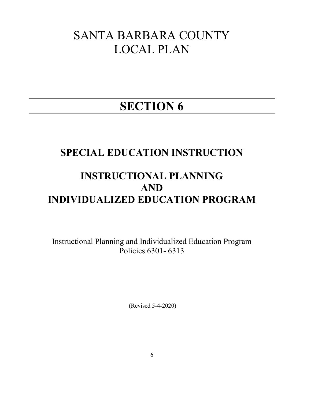# SANTA BARBARA COUNTY LOCAL PLAN

# SECTION 6

# SPECIAL EDUCATION INSTRUCTION

# INSTRUCTIONAL PLANNING AND INDIVIDUALIZED EDUCATION PROGRAM

Instructional Planning and Individualized Education Program Policies 6301- 6313

(Revised 5-4-2020)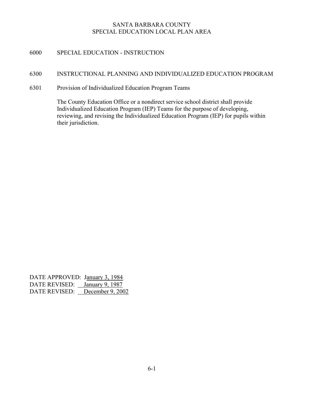# 6000 SPECIAL EDUCATION - INSTRUCTION

### 6300 INSTRUCTIONAL PLANNING AND INDIVIDUALIZED EDUCATION PROGRAM

#### 6301 Provision of Individualized Education Program Teams

The County Education Office or a nondirect service school district shall provide Individualized Education Program (IEP) Teams for the purpose of developing, reviewing, and revising the Individualized Education Program (IEP) for pupils within their jurisdiction.

DATE APPROVED: January 3, 1984 DATE REVISED: January 9, 1987 DATE REVISED: December 9, 2002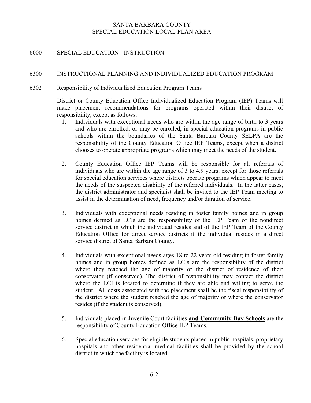# 6000 SPECIAL EDUCATION - INSTRUCTION

#### 6300 INSTRUCTIONAL PLANNING AND INDIVIDUALIZED EDUCATION PROGRAM

6302 Responsibility of Individualized Education Program Teams

District or County Education Office Individualized Education Program (IEP) Teams will make placement recommendations for programs operated within their district of responsibility, except as follows:

- 1. Individuals with exceptional needs who are within the age range of birth to 3 years and who are enrolled, or may be enrolled, in special education programs in public schools within the boundaries of the Santa Barbara County SELPA are the responsibility of the County Education Office IEP Teams, except when a district chooses to operate appropriate programs which may meet the needs of the student.
- 2. County Education Office IEP Teams will be responsible for all referrals of individuals who are within the age range of 3 to 4.9 years, except for those referrals for special education services where districts operate programs which appear to meet the needs of the suspected disability of the referred individuals. In the latter cases, the district administrator and specialist shall be invited to the IEP Team meeting to assist in the determination of need, frequency and/or duration of service.
- 3. Individuals with exceptional needs residing in foster family homes and in group homes defined as LCIs are the responsibility of the IEP Team of the nondirect service district in which the individual resides and of the IEP Team of the County Education Office for direct service districts if the individual resides in a direct service district of Santa Barbara County.
- 4. Individuals with exceptional needs ages 18 to 22 years old residing in foster family homes and in group homes defined as LCIs are the responsibility of the district where they reached the age of majority or the district of residence of their conservator (if conserved). The district of responsibility may contact the district where the LCI is located to determine if they are able and willing to serve the student. All costs associated with the placement shall be the fiscal responsibility of the district where the student reached the age of majority or where the conservator resides (if the student is conserved).
- 5. Individuals placed in Juvenile Court facilities and Community Day Schools are the responsibility of County Education Office IEP Teams.
- 6. Special education services for eligible students placed in public hospitals, proprietary hospitals and other residential medical facilities shall be provided by the school district in which the facility is located.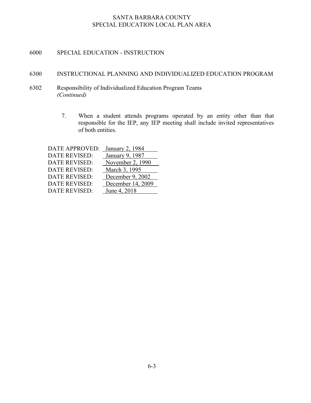# 6000 SPECIAL EDUCATION - INSTRUCTION

# 6300 INSTRUCTIONAL PLANNING AND INDIVIDUALIZED EDUCATION PROGRAM

- 6302 Responsibility of Individualized Education Program Teams (Continued)
	- 7. When a student attends programs operated by an entity other than that responsible for the IEP, any IEP meeting shall include invited representatives of both entities.

| <b>DATE REVISED:</b><br>January 9, 1987<br><b>DATE REVISED:</b><br>November 2, 1990<br><b>DATE REVISED:</b><br>March 3, 1995<br>December 9, 2002<br><b>DATE REVISED:</b> |
|--------------------------------------------------------------------------------------------------------------------------------------------------------------------------|
|                                                                                                                                                                          |
|                                                                                                                                                                          |
|                                                                                                                                                                          |
|                                                                                                                                                                          |
| <b>DATE REVISED:</b><br>December 14, 2009                                                                                                                                |
| <b>DATE REVISED:</b><br>June 4, 2018                                                                                                                                     |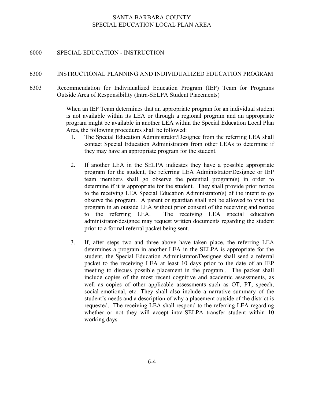#### 6000 SPECIAL EDUCATION - INSTRUCTION

#### 6300 INSTRUCTIONAL PLANNING AND INDIVIDUALIZED EDUCATION PROGRAM

6303 Recommendation for Individualized Education Program (IEP) Team for Programs Outside Area of Responsibility (Intra-SELPA Student Placements)

> When an IEP Team determines that an appropriate program for an individual student is not available within its LEA or through a regional program and an appropriate program might be available in another LEA within the Special Education Local Plan Area, the following procedures shall be followed:

- 1. The Special Education Administrator/Designee from the referring LEA shall contact Special Education Administrators from other LEAs to determine if they may have an appropriate program for the student.
- 2. If another LEA in the SELPA indicates they have a possible appropriate program for the student, the referring LEA Administrator/Designee or IEP team members shall go observe the potential program(s) in order to determine if it is appropriate for the student. They shall provide prior notice to the receiving LEA Special Education Administrator(s) of the intent to go observe the program. A parent or guardian shall not be allowed to visit the program in an outside LEA without prior consent of the receiving and notice to the referring LEA. The receiving LEA special education administrator/designee may request written documents regarding the student prior to a formal referral packet being sent.
- 3. If, after steps two and three above have taken place, the referring LEA determines a program in another LEA in the SELPA is appropriate for the student, the Special Education Administrator/Designee shall send a referral packet to the receiving LEA at least 10 days prior to the date of an IEP meeting to discuss possible placement in the program.. The packet shall include copies of the most recent cognitive and academic assessments, as well as copies of other applicable assessments such as OT, PT, speech, social-emotional, etc. They shall also include a narrative summary of the student's needs and a description of why a placement outside of the district is requested. The receiving LEA shall respond to the referring LEA regarding whether or not they will accept intra-SELPA transfer student within 10 working days.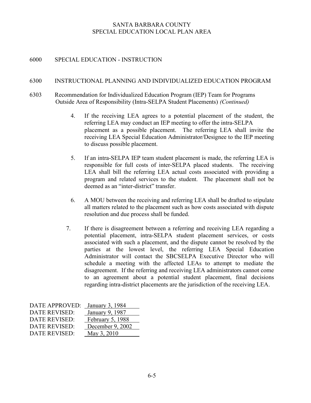# 6000 SPECIAL EDUCATION - INSTRUCTION

# 6300 INSTRUCTIONAL PLANNING AND INDIVIDUALIZED EDUCATION PROGRAM

- 6303 Recommendation for Individualized Education Program (IEP) Team for Programs Outside Area of Responsibility (Intra-SELPA Student Placements) (Continued)
	- 4. If the receiving LEA agrees to a potential placement of the student, the referring LEA may conduct an IEP meeting to offer the intra-SELPA placement as a possible placement. The referring LEA shall invite the receiving LEA Special Education Administrator/Designee to the IEP meeting to discuss possible placement.
	- 5. If an intra-SELPA IEP team student placement is made, the referring LEA is responsible for full costs of inter-SELPA placed students. The receiving LEA shall bill the referring LEA actual costs associated with providing a program and related services to the student. The placement shall not be deemed as an "inter-district" transfer.
	- 6. A MOU between the receiving and referring LEA shall be drafted to stipulate all matters related to the placement such as how costs associated with dispute resolution and due process shall be funded.
	- 7. If there is disagreement between a referring and receiving LEA regarding a potential placement, intra-SELPA student placement services, or costs associated with such a placement, and the dispute cannot be resolved by the parties at the lowest level, the referring LEA Special Education Administrator will contact the SBCSELPA Executive Director who will schedule a meeting with the affected LEAs to attempt to mediate the disagreement. If the referring and receiving LEA administrators cannot come to an agreement about a potential student placement, final decisions regarding intra-district placements are the jurisdiction of the receiving LEA.

| <b>DATE APPROVED:</b> | January 3, 1984  |
|-----------------------|------------------|
| DATE REVISED:         | January 9, 1987  |
| DATE REVISED:         | February 5, 1988 |
| DATE REVISED:         | December 9, 2002 |
| DATE REVISED:         | May 3, 2010      |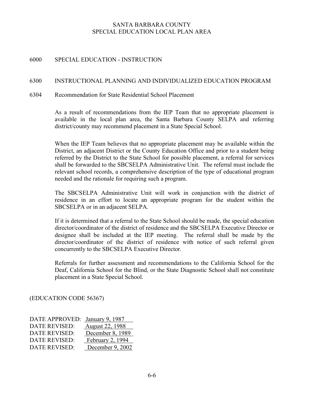# 6000 SPECIAL EDUCATION - INSTRUCTION

# 6300 INSTRUCTIONAL PLANNING AND INDIVIDUALIZED EDUCATION PROGRAM

#### 6304 Recommendation for State Residential School Placement

As a result of recommendations from the IEP Team that no appropriate placement is available in the local plan area, the Santa Barbara County SELPA and referring district/county may recommend placement in a State Special School.

When the IEP Team believes that no appropriate placement may be available within the District, an adjacent District or the County Education Office and prior to a student being referred by the District to the State School for possible placement, a referral for services shall be forwarded to the SBCSELPA Administrative Unit. The referral must include the relevant school records, a comprehensive description of the type of educational program needed and the rationale for requiring such a program.

The SBCSELPA Administrative Unit will work in conjunction with the district of residence in an effort to locate an appropriate program for the student within the SBCSELPA or in an adjacent SELPA.

If it is determined that a referral to the State School should be made, the special education director/coordinator of the district of residence and the SBCSELPA Executive Director or designee shall be included at the IEP meeting. The referral shall be made by the director/coordinator of the district of residence with notice of such referral given concurrently to the SBCSELPA Executive Director.

Referrals for further assessment and recommendations to the California School for the Deaf, California School for the Blind, or the State Diagnostic School shall not constitute placement in a State Special School.

(EDUCATION CODE 56367)

| DATE APPROVED:       | January 9, 1987        |
|----------------------|------------------------|
| <b>DATE REVISED:</b> | <u>August 22, 1988</u> |
| <b>DATE REVISED:</b> | December 8, 1989       |
| <b>DATE REVISED:</b> | February 2, 1994       |
| <b>DATE REVISED:</b> | December 9, 2002       |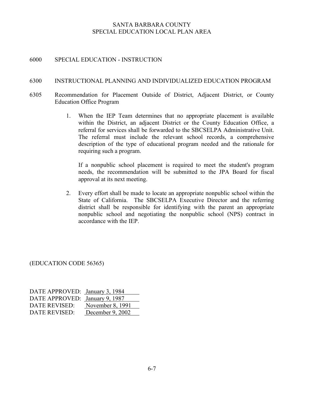# 6000 SPECIAL EDUCATION - INSTRUCTION

# 6300 INSTRUCTIONAL PLANNING AND INDIVIDUALIZED EDUCATION PROGRAM

- 6305 Recommendation for Placement Outside of District, Adjacent District, or County Education Office Program
	- 1. When the IEP Team determines that no appropriate placement is available within the District, an adjacent District or the County Education Office, a referral for services shall be forwarded to the SBCSELPA Administrative Unit. The referral must include the relevant school records, a comprehensive description of the type of educational program needed and the rationale for requiring such a program.

If a nonpublic school placement is required to meet the student's program needs, the recommendation will be submitted to the JPA Board for fiscal approval at its next meeting.

2. Every effort shall be made to locate an appropriate nonpublic school within the State of California. The SBCSELPA Executive Director and the referring district shall be responsible for identifying with the parent an appropriate nonpublic school and negotiating the nonpublic school (NPS) contract in accordance with the IEP.

(EDUCATION CODE 56365)

| DATE APPROVED: January 3, 1984 |                  |
|--------------------------------|------------------|
| DATE APPROVED: January 9, 1987 |                  |
| DATE REVISED:                  | November 8, 1991 |
| DATE REVISED:                  | December 9, 2002 |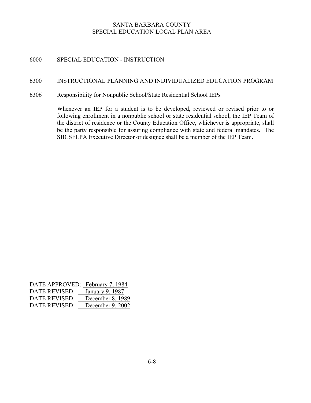# 6000 SPECIAL EDUCATION - INSTRUCTION

#### 6300 INSTRUCTIONAL PLANNING AND INDIVIDUALIZED EDUCATION PROGRAM

6306 Responsibility for Nonpublic School/State Residential School IEPs

Whenever an IEP for a student is to be developed, reviewed or revised prior to or following enrollment in a nonpublic school or state residential school, the IEP Team of the district of residence or the County Education Office, whichever is appropriate, shall be the party responsible for assuring compliance with state and federal mandates. The SBCSELPA Executive Director or designee shall be a member of the IEP Team.

| DATE APPROVED: February 7, 1984 |                  |
|---------------------------------|------------------|
| <b>DATE REVISED:</b>            | January 9, 1987  |
| <b>DATE REVISED:</b>            | December 8, 1989 |
| <b>DATE REVISED:</b>            | December 9, 2002 |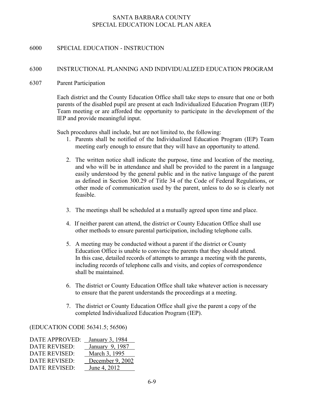# 6000 SPECIAL EDUCATION - INSTRUCTION

# 6300 INSTRUCTIONAL PLANNING AND INDIVIDUALIZED EDUCATION PROGRAM

6307 Parent Participation

Each district and the County Education Office shall take steps to ensure that one or both parents of the disabled pupil are present at each Individualized Education Program (IEP) Team meeting or are afforded the opportunity to participate in the development of the IEP and provide meaningful input.

Such procedures shall include, but are not limited to, the following:

- 1. Parents shall be notified of the Individualized Education Program (IEP) Team meeting early enough to ensure that they will have an opportunity to attend.
- 2. The written notice shall indicate the purpose, time and location of the meeting, and who will be in attendance and shall be provided to the parent in a language easily understood by the general public and in the native language of the parent as defined in Section 300.29 of Title 34 of the Code of Federal Regulations, or other mode of communication used by the parent, unless to do so is clearly not feasible.
- 3. The meetings shall be scheduled at a mutually agreed upon time and place.
- 4. If neither parent can attend, the district or County Education Office shall use other methods to ensure parental participation, including telephone calls.
- 5. A meeting may be conducted without a parent if the district or County Education Office is unable to convince the parents that they should attend. In this case, detailed records of attempts to arrange a meeting with the parents, including records of telephone calls and visits, and copies of correspondence shall be maintained.
- 6. The district or County Education Office shall take whatever action is necessary to ensure that the parent understands the proceedings at a meeting.
- 7. The district or County Education Office shall give the parent a copy of the completed Individualized Education Program (IEP).

# (EDUCATION CODE 56341.5; 56506)

| <b>DATE APPROVED:</b> | January 3, 1984  |
|-----------------------|------------------|
| <b>DATE REVISED:</b>  | January 9, 1987  |
| DATE REVISED:         | March 3, 1995    |
| <b>DATE REVISED:</b>  | December 9, 2002 |
| <b>DATE REVISED:</b>  | June 4, 2012     |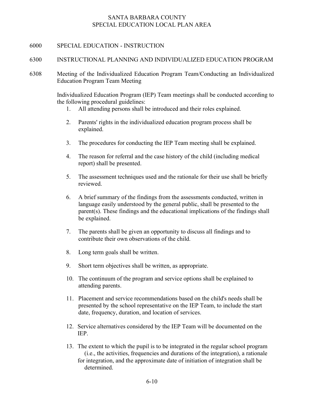# 6000 SPECIAL EDUCATION - INSTRUCTION

# 6300 INSTRUCTIONAL PLANNING AND INDIVIDUALIZED EDUCATION PROGRAM

6308 Meeting of the Individualized Education Program Team/Conducting an Individualized Education Program Team Meeting

> Individualized Education Program (IEP) Team meetings shall be conducted according to the following procedural guidelines:

- 1. All attending persons shall be introduced and their roles explained.
- 2. Parents' rights in the individualized education program process shall be explained.
- 3. The procedures for conducting the IEP Team meeting shall be explained.
- 4. The reason for referral and the case history of the child (including medical report) shall be presented.
- 5. The assessment techniques used and the rationale for their use shall be briefly reviewed.
- 6. A brief summary of the findings from the assessments conducted, written in language easily understood by the general public, shall be presented to the parent(s). These findings and the educational implications of the findings shall be explained.
- 7. The parents shall be given an opportunity to discuss all findings and to contribute their own observations of the child.
- 8. Long term goals shall be written.
- 9. Short term objectives shall be written, as appropriate.
- 10. The continuum of the program and service options shall be explained to attending parents.
- 11. Placement and service recommendations based on the child's needs shall be presented by the school representative on the IEP Team, to include the start date, frequency, duration, and location of services.
- 12. Service alternatives considered by the IEP Team will be documented on the IEP.
- 13. The extent to which the pupil is to be integrated in the regular school program (i.e., the activities, frequencies and durations of the integration), a rationale for integration, and the approximate date of initiation of integration shall be determined.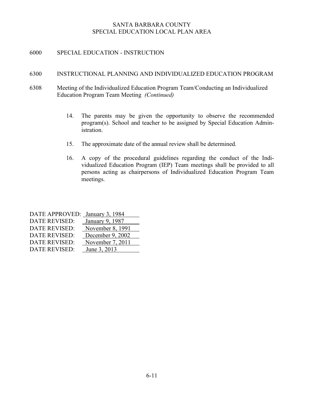# 6000 SPECIAL EDUCATION - INSTRUCTION

#### 6300 INSTRUCTIONAL PLANNING AND INDIVIDUALIZED EDUCATION PROGRAM

- 6308 Meeting of the Individualized Education Program Team/Conducting an Individualized Education Program Team Meeting (Continued)
	- 14. The parents may be given the opportunity to observe the recommended program(s). School and teacher to be assigned by Special Education Administration.
	- 15. The approximate date of the annual review shall be determined.
	- 16. A copy of the procedural guidelines regarding the conduct of the Individualized Education Program (IEP) Team meetings shall be provided to all persons acting as chairpersons of Individualized Education Program Team meetings.

DATE APPROVED: January 3, 1984

| DATE REVISED:        | January 9, 1987  |
|----------------------|------------------|
| <b>DATE REVISED:</b> | November 8, 1991 |
| <b>DATE REVISED:</b> | December 9, 2002 |
| DATE REVISED:        | November 7, 2011 |
| <b>DATE REVISED:</b> | June 3, 2013     |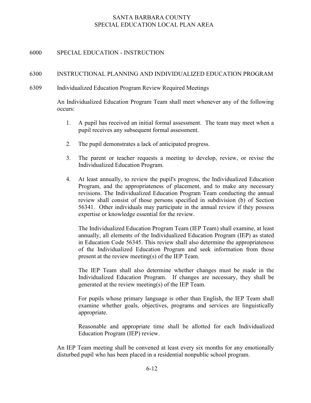# 6000 SPECIAL EDUCATION - INSTRUCTION

# 6300 INSTRUCTIONAL PLANNING AND INDIVIDUALIZED EDUCATION PROGRAM

6309 Individualized Education Program Review Required Meetings

An Individualized Education Program Team shall meet whenever any of the following occurs:

- 1. A pupil has received an initial formal assessment. The team may meet when a pupil receives any subsequent formal assessment.
- 2. The pupil demonstrates a lack of anticipated progress.
- 3. The parent or teacher requests a meeting to develop, review, or revise the Individualized Education Program.
- 4. At least annually, to review the pupil's progress, the Individualized Education Program, and the appropriateness of placement, and to make any necessary revisions. The Individualized Education Program Team conducting the annual review shall consist of those persons specified in subdivision (b) of Section 56341. Other individuals may participate in the annual review if they possess expertise or knowledge essential for the review.

The Individualized Education Program Team (IEP Team) shall examine, at least annually, all elements of the Individualized Education Program (IEP) as stated in Education Code 56345. This review shall also determine the appropriateness of the Individualized Education Program and seek information from those present at the review meeting(s) of the IEP Team.

The IEP Team shall also determine whether changes must be made in the Individualized Education Program. If changes are necessary, they shall be generated at the review meeting(s) of the IEP Team.

For pupils whose primary language is other than English, the IEP Team shall examine whether goals, objectives, programs and services are linguistically appropriate.

Reasonable and appropriate time shall be allotted for each Individualized Education Program (IEP) review.

An IEP Team meeting shall be convened at least every six months for any emotionally disturbed pupil who has been placed in a residential nonpublic school program.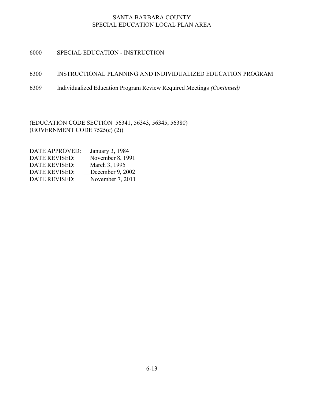6000 SPECIAL EDUCATION - INSTRUCTION

# 6300 INSTRUCTIONAL PLANNING AND INDIVIDUALIZED EDUCATION PROGRAM

6309 Individualized Education Program Review Required Meetings (Continued)

(EDUCATION CODE SECTION 56341, 56343, 56345, 56380) (GOVERNMENT CODE 7525(c) (2))

| January 3, 1984  |
|------------------|
| November 8, 1991 |
| March 3, 1995    |
| December 9, 2002 |
| November 7, 2011 |
|                  |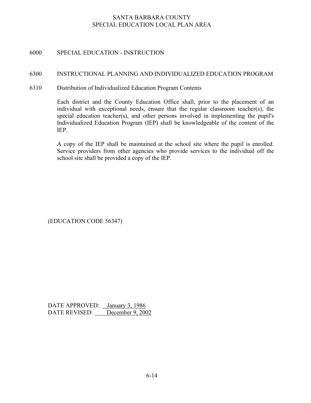# 6000 SPECIAL EDUCATION - INSTRUCTION

#### 6300 INSTRUCTIONAL PLANNING AND INDIVIDUALIZED EDUCATION PROGRAM

6310 Distribution of Individualized Education Program Contents

 Each district and the County Education Office shall, prior to the placement of an individual with exceptional needs, ensure that the regular classroom teacher(s), the special education teacher(s), and other persons involved in implementing the pupil's Individualized Education Program (IEP) shall be knowledgeable of the content of the IEP.

 A copy of the IEP shall be maintained at the school site where the pupil is enrolled. Service providers from other agencies who provide services to the individual off the school site shall be provided a copy of the IEP.

(EDUCATION CODE 56347)

DATE APPROVED: January 3, 1986 DATE REVISED: December 9, 2002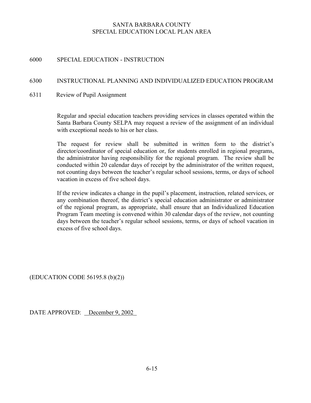# 6000 SPECIAL EDUCATION - INSTRUCTION

# 6300 INSTRUCTIONAL PLANNING AND INDIVIDUALIZED EDUCATION PROGRAM

6311 Review of Pupil Assignment

 Regular and special education teachers providing services in classes operated within the Santa Barbara County SELPA may request a review of the assignment of an individual with exceptional needs to his or her class.

The request for review shall be submitted in written form to the district's director/coordinator of special education or, for students enrolled in regional programs, the administrator having responsibility for the regional program. The review shall be conducted within 20 calendar days of receipt by the administrator of the written request, not counting days between the teacher's regular school sessions, terms, or days of school vacation in excess of five school days.

If the review indicates a change in the pupil's placement, instruction, related services, or any combination thereof, the district's special education administrator or administrator of the regional program, as appropriate, shall ensure that an Individualized Education Program Team meeting is convened within 30 calendar days of the review, not counting days between the teacher's regular school sessions, terms, or days of school vacation in excess of five school days.

(EDUCATION CODE 56195.8 (b)(2))

DATE APPROVED: December 9, 2002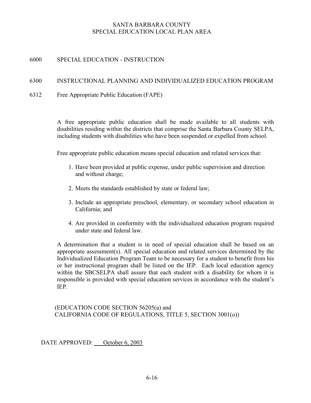# 6000 SPECIAL EDUCATION - INSTRUCTION

# 6300 INSTRUCTIONAL PLANNING AND INDIVIDUALIZED EDUCATION PROGRAM

6312 Free Appropriate Public Education (FAPE)

A free appropriate public education shall be made available to all students with disabilities residing within the districts that comprise the Santa Barbara County SELPA, including students with disabilities who have been suspended or expelled from school.

Free appropriate public education means special education and related services that:

- 1. Have been provided at public expense, under public supervision and direction and without charge;
- 2. Meets the standards established by state or federal law;
- 3. Include an appropriate preschool, elementary, or secondary school education in California; and
- 4. Are provided in conformity with the individualized education program required under state and federal law.

A determination that a student is in need of special education shall be based on an appropriate assessment(s). All special education and related services determined by the Individualized Education Program Team to be necessary for a student to benefit from his or her instructional program shall be listed on the IEP. Each local education agency within the SBCSELPA shall assure that each student with a disability for whom it is responsible is provided with special education services in accordance with the student's IEP.

(EDUCATION CODE SECTION 56205(a) and CALIFORNIA CODE OF REGULATIONS, TITLE 5, SECTION 3001(o))

DATE APPROVED: October 6, 2003